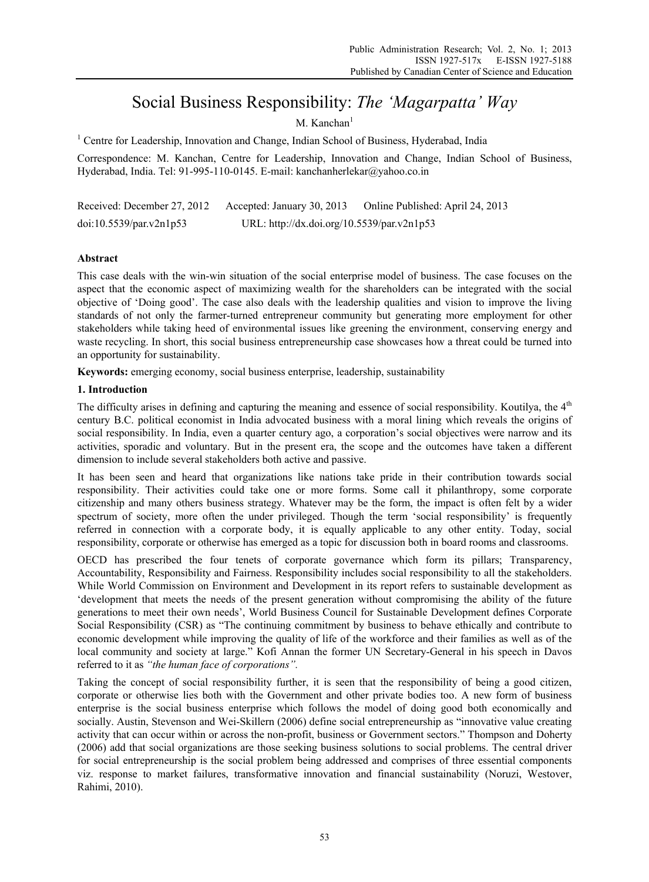# Social Business Responsibility: *The 'Magarpatta' Way*

 $M.$  Kanchan<sup>1</sup>

<sup>1</sup> Centre for Leadership, Innovation and Change, Indian School of Business, Hyderabad, India

Correspondence: M. Kanchan, Centre for Leadership, Innovation and Change, Indian School of Business, Hyderabad, India. Tel: 91-995-110-0145. E-mail: kanchanherlekar@yahoo.co.in

| Received: December 27, 2012 | Accepted: January 30, 2013                 | Online Published: April 24, 2013 |
|-----------------------------|--------------------------------------------|----------------------------------|
| doi:10.5539/par.v2n1p53     | URL: http://dx.doi.org/10.5539/par.v2n1p53 |                                  |

## **Abstract**

This case deals with the win-win situation of the social enterprise model of business. The case focuses on the aspect that the economic aspect of maximizing wealth for the shareholders can be integrated with the social objective of 'Doing good'. The case also deals with the leadership qualities and vision to improve the living standards of not only the farmer-turned entrepreneur community but generating more employment for other stakeholders while taking heed of environmental issues like greening the environment, conserving energy and waste recycling. In short, this social business entrepreneurship case showcases how a threat could be turned into an opportunity for sustainability.

**Keywords:** emerging economy, social business enterprise, leadership, sustainability

## **1. Introduction**

The difficulty arises in defining and capturing the meaning and essence of social responsibility. Koutilya, the  $4<sup>th</sup>$ century B.C. political economist in India advocated business with a moral lining which reveals the origins of social responsibility. In India, even a quarter century ago, a corporation's social objectives were narrow and its activities, sporadic and voluntary. But in the present era, the scope and the outcomes have taken a different dimension to include several stakeholders both active and passive.

It has been seen and heard that organizations like nations take pride in their contribution towards social responsibility. Their activities could take one or more forms. Some call it philanthropy, some corporate citizenship and many others business strategy. Whatever may be the form, the impact is often felt by a wider spectrum of society, more often the under privileged. Though the term 'social responsibility' is frequently referred in connection with a corporate body, it is equally applicable to any other entity. Today, social responsibility, corporate or otherwise has emerged as a topic for discussion both in board rooms and classrooms.

OECD has prescribed the four tenets of corporate governance which form its pillars; Transparency, Accountability, Responsibility and Fairness. Responsibility includes social responsibility to all the stakeholders. While World Commission on Environment and Development in its report refers to sustainable development as 'development that meets the needs of the present generation without compromising the ability of the future generations to meet their own needs', World Business Council for Sustainable Development defines Corporate Social Responsibility (CSR) as "The continuing commitment by business to behave ethically and contribute to economic development while improving the quality of life of the workforce and their families as well as of the local community and society at large." Kofi Annan the former UN Secretary-General in his speech in Davos referred to it as *"the human face of corporations".* 

Taking the concept of social responsibility further, it is seen that the responsibility of being a good citizen, corporate or otherwise lies both with the Government and other private bodies too. A new form of business enterprise is the social business enterprise which follows the model of doing good both economically and socially. Austin, Stevenson and Wei-Skillern (2006) define social entrepreneurship as "innovative value creating activity that can occur within or across the non-profit, business or Government sectors." Thompson and Doherty (2006) add that social organizations are those seeking business solutions to social problems. The central driver for social entrepreneurship is the social problem being addressed and comprises of three essential components viz. response to market failures, transformative innovation and financial sustainability (Noruzi, Westover, Rahimi, 2010).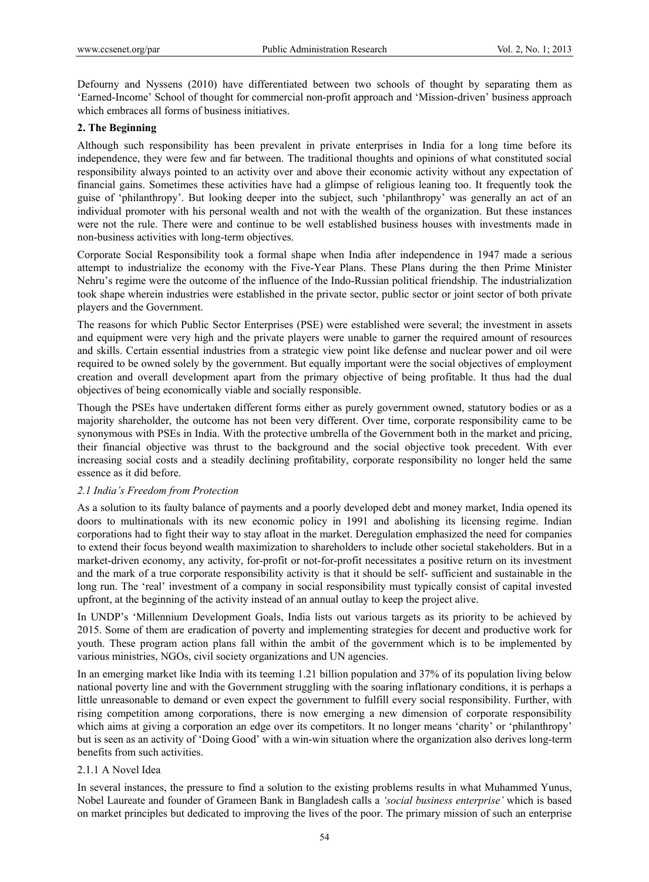Defourny and Nyssens (2010) have differentiated between two schools of thought by separating them as 'Earned-Income' School of thought for commercial non-profit approach and 'Mission-driven' business approach which embraces all forms of business initiatives.

## **2. The Beginning**

Although such responsibility has been prevalent in private enterprises in India for a long time before its independence, they were few and far between. The traditional thoughts and opinions of what constituted social responsibility always pointed to an activity over and above their economic activity without any expectation of financial gains. Sometimes these activities have had a glimpse of religious leaning too. It frequently took the guise of 'philanthropy'. But looking deeper into the subject, such 'philanthropy' was generally an act of an individual promoter with his personal wealth and not with the wealth of the organization. But these instances were not the rule. There were and continue to be well established business houses with investments made in non-business activities with long-term objectives.

Corporate Social Responsibility took a formal shape when India after independence in 1947 made a serious attempt to industrialize the economy with the Five-Year Plans. These Plans during the then Prime Minister Nehru's regime were the outcome of the influence of the Indo-Russian political friendship. The industrialization took shape wherein industries were established in the private sector, public sector or joint sector of both private players and the Government.

The reasons for which Public Sector Enterprises (PSE) were established were several; the investment in assets and equipment were very high and the private players were unable to garner the required amount of resources and skills. Certain essential industries from a strategic view point like defense and nuclear power and oil were required to be owned solely by the government. But equally important were the social objectives of employment creation and overall development apart from the primary objective of being profitable. It thus had the dual objectives of being economically viable and socially responsible.

Though the PSEs have undertaken different forms either as purely government owned, statutory bodies or as a majority shareholder, the outcome has not been very different. Over time, corporate responsibility came to be synonymous with PSEs in India. With the protective umbrella of the Government both in the market and pricing, their financial objective was thrust to the background and the social objective took precedent. With ever increasing social costs and a steadily declining profitability, corporate responsibility no longer held the same essence as it did before.

### *2.1 India's Freedom from Protection*

As a solution to its faulty balance of payments and a poorly developed debt and money market, India opened its doors to multinationals with its new economic policy in 1991 and abolishing its licensing regime. Indian corporations had to fight their way to stay afloat in the market. Deregulation emphasized the need for companies to extend their focus beyond wealth maximization to shareholders to include other societal stakeholders. But in a market-driven economy, any activity, for-profit or not-for-profit necessitates a positive return on its investment and the mark of a true corporate responsibility activity is that it should be self- sufficient and sustainable in the long run. The 'real' investment of a company in social responsibility must typically consist of capital invested upfront, at the beginning of the activity instead of an annual outlay to keep the project alive.

In UNDP's 'Millennium Development Goals, India lists out various targets as its priority to be achieved by 2015. Some of them are eradication of poverty and implementing strategies for decent and productive work for youth. These program action plans fall within the ambit of the government which is to be implemented by various ministries, NGOs, civil society organizations and UN agencies.

In an emerging market like India with its teeming 1.21 billion population and 37% of its population living below national poverty line and with the Government struggling with the soaring inflationary conditions, it is perhaps a little unreasonable to demand or even expect the government to fulfill every social responsibility. Further, with rising competition among corporations, there is now emerging a new dimension of corporate responsibility which aims at giving a corporation an edge over its competitors. It no longer means 'charity' or 'philanthropy' but is seen as an activity of 'Doing Good' with a win-win situation where the organization also derives long-term benefits from such activities.

### 2.1.1 A Novel Idea

In several instances, the pressure to find a solution to the existing problems results in what Muhammed Yunus, Nobel Laureate and founder of Grameen Bank in Bangladesh calls a *'social business enterprise'* which is based on market principles but dedicated to improving the lives of the poor. The primary mission of such an enterprise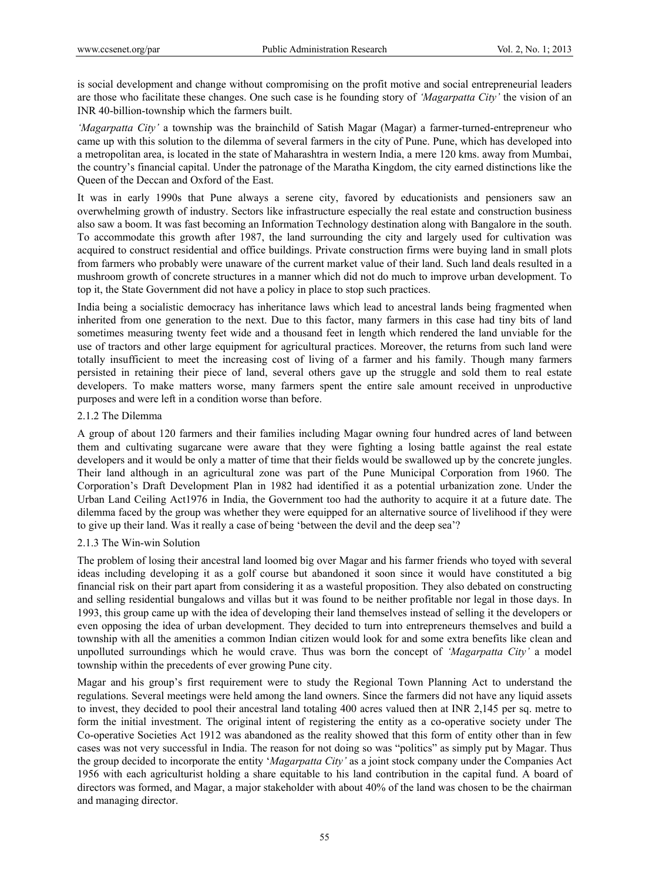is social development and change without compromising on the profit motive and social entrepreneurial leaders are those who facilitate these changes. One such case is he founding story of *'Magarpatta City'* the vision of an INR 40-billion-township which the farmers built.

*'Magarpatta City'* a township was the brainchild of Satish Magar (Magar) a farmer-turned-entrepreneur who came up with this solution to the dilemma of several farmers in the city of Pune. Pune, which has developed into a metropolitan area, is located in the state of Maharashtra in western India, a mere 120 kms. away from Mumbai, the country's financial capital. Under the patronage of the Maratha Kingdom, the city earned distinctions like the Queen of the Deccan and Oxford of the East.

It was in early 1990s that Pune always a serene city, favored by educationists and pensioners saw an overwhelming growth of industry. Sectors like infrastructure especially the real estate and construction business also saw a boom. It was fast becoming an Information Technology destination along with Bangalore in the south. To accommodate this growth after 1987, the land surrounding the city and largely used for cultivation was acquired to construct residential and office buildings. Private construction firms were buying land in small plots from farmers who probably were unaware of the current market value of their land. Such land deals resulted in a mushroom growth of concrete structures in a manner which did not do much to improve urban development. To top it, the State Government did not have a policy in place to stop such practices.

India being a socialistic democracy has inheritance laws which lead to ancestral lands being fragmented when inherited from one generation to the next. Due to this factor, many farmers in this case had tiny bits of land sometimes measuring twenty feet wide and a thousand feet in length which rendered the land unviable for the use of tractors and other large equipment for agricultural practices. Moreover, the returns from such land were totally insufficient to meet the increasing cost of living of a farmer and his family. Though many farmers persisted in retaining their piece of land, several others gave up the struggle and sold them to real estate developers. To make matters worse, many farmers spent the entire sale amount received in unproductive purposes and were left in a condition worse than before.

### 2.1.2 The Dilemma

A group of about 120 farmers and their families including Magar owning four hundred acres of land between them and cultivating sugarcane were aware that they were fighting a losing battle against the real estate developers and it would be only a matter of time that their fields would be swallowed up by the concrete jungles. Their land although in an agricultural zone was part of the Pune Municipal Corporation from 1960. The Corporation's Draft Development Plan in 1982 had identified it as a potential urbanization zone. Under the Urban Land Ceiling Act1976 in India, the Government too had the authority to acquire it at a future date. The dilemma faced by the group was whether they were equipped for an alternative source of livelihood if they were to give up their land. Was it really a case of being 'between the devil and the deep sea'?

### 2.1.3 The Win-win Solution

The problem of losing their ancestral land loomed big over Magar and his farmer friends who toyed with several ideas including developing it as a golf course but abandoned it soon since it would have constituted a big financial risk on their part apart from considering it as a wasteful proposition. They also debated on constructing and selling residential bungalows and villas but it was found to be neither profitable nor legal in those days. In 1993, this group came up with the idea of developing their land themselves instead of selling it the developers or even opposing the idea of urban development. They decided to turn into entrepreneurs themselves and build a township with all the amenities a common Indian citizen would look for and some extra benefits like clean and unpolluted surroundings which he would crave. Thus was born the concept of *'Magarpatta City'* a model township within the precedents of ever growing Pune city.

Magar and his group's first requirement were to study the Regional Town Planning Act to understand the regulations. Several meetings were held among the land owners. Since the farmers did not have any liquid assets to invest, they decided to pool their ancestral land totaling 400 acres valued then at INR 2,145 per sq. metre to form the initial investment. The original intent of registering the entity as a co-operative society under The Co-operative Societies Act 1912 was abandoned as the reality showed that this form of entity other than in few cases was not very successful in India. The reason for not doing so was "politics" as simply put by Magar. Thus the group decided to incorporate the entity '*Magarpatta City'* as a joint stock company under the Companies Act 1956 with each agriculturist holding a share equitable to his land contribution in the capital fund. A board of directors was formed, and Magar, a major stakeholder with about 40% of the land was chosen to be the chairman and managing director.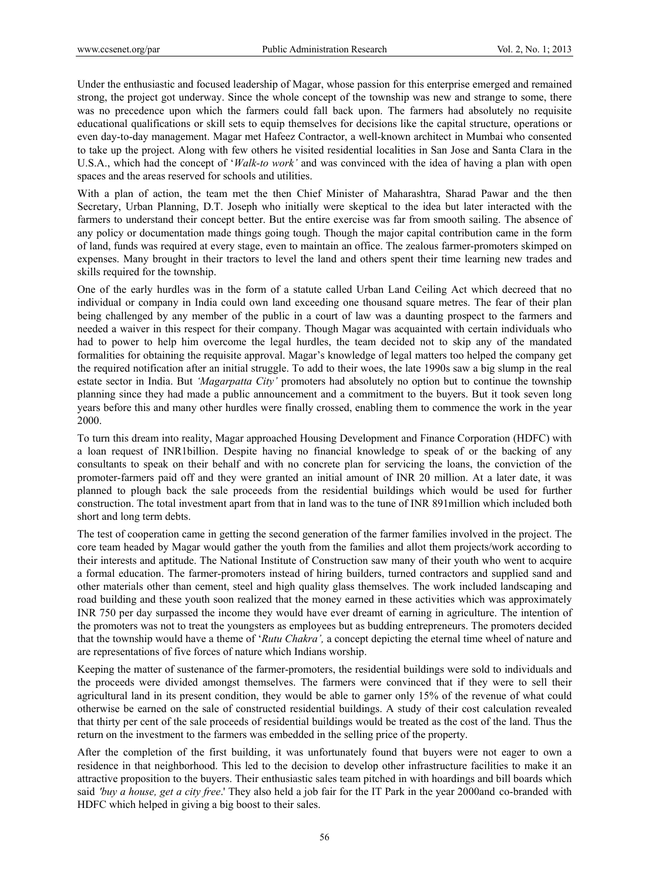Under the enthusiastic and focused leadership of Magar, whose passion for this enterprise emerged and remained strong, the project got underway. Since the whole concept of the township was new and strange to some, there was no precedence upon which the farmers could fall back upon. The farmers had absolutely no requisite educational qualifications or skill sets to equip themselves for decisions like the capital structure, operations or even day-to-day management. Magar met Hafeez Contractor, a well-known architect in Mumbai who consented to take up the project. Along with few others he visited residential localities in San Jose and Santa Clara in the U.S.A., which had the concept of '*Walk-to work'* and was convinced with the idea of having a plan with open spaces and the areas reserved for schools and utilities.

With a plan of action, the team met the then Chief Minister of Maharashtra, Sharad Pawar and the then Secretary, Urban Planning, D.T. Joseph who initially were skeptical to the idea but later interacted with the farmers to understand their concept better. But the entire exercise was far from smooth sailing. The absence of any policy or documentation made things going tough. Though the major capital contribution came in the form of land, funds was required at every stage, even to maintain an office. The zealous farmer-promoters skimped on expenses. Many brought in their tractors to level the land and others spent their time learning new trades and skills required for the township.

One of the early hurdles was in the form of a statute called Urban Land Ceiling Act which decreed that no individual or company in India could own land exceeding one thousand square metres. The fear of their plan being challenged by any member of the public in a court of law was a daunting prospect to the farmers and needed a waiver in this respect for their company. Though Magar was acquainted with certain individuals who had to power to help him overcome the legal hurdles, the team decided not to skip any of the mandated formalities for obtaining the requisite approval. Magar's knowledge of legal matters too helped the company get the required notification after an initial struggle. To add to their woes, the late 1990s saw a big slump in the real estate sector in India. But *'Magarpatta City'* promoters had absolutely no option but to continue the township planning since they had made a public announcement and a commitment to the buyers. But it took seven long years before this and many other hurdles were finally crossed, enabling them to commence the work in the year 2000.

To turn this dream into reality, Magar approached Housing Development and Finance Corporation (HDFC) with a loan request of INR1billion. Despite having no financial knowledge to speak of or the backing of any consultants to speak on their behalf and with no concrete plan for servicing the loans, the conviction of the promoter-farmers paid off and they were granted an initial amount of INR 20 million. At a later date, it was planned to plough back the sale proceeds from the residential buildings which would be used for further construction. The total investment apart from that in land was to the tune of INR 891million which included both short and long term debts.

The test of cooperation came in getting the second generation of the farmer families involved in the project. The core team headed by Magar would gather the youth from the families and allot them projects/work according to their interests and aptitude. The National Institute of Construction saw many of their youth who went to acquire a formal education. The farmer-promoters instead of hiring builders, turned contractors and supplied sand and other materials other than cement, steel and high quality glass themselves. The work included landscaping and road building and these youth soon realized that the money earned in these activities which was approximately INR 750 per day surpassed the income they would have ever dreamt of earning in agriculture. The intention of the promoters was not to treat the youngsters as employees but as budding entrepreneurs. The promoters decided that the township would have a theme of '*Rutu Chakra',* a concept depicting the eternal time wheel of nature and are representations of five forces of nature which Indians worship.

Keeping the matter of sustenance of the farmer-promoters, the residential buildings were sold to individuals and the proceeds were divided amongst themselves. The farmers were convinced that if they were to sell their agricultural land in its present condition, they would be able to garner only 15% of the revenue of what could otherwise be earned on the sale of constructed residential buildings. A study of their cost calculation revealed that thirty per cent of the sale proceeds of residential buildings would be treated as the cost of the land. Thus the return on the investment to the farmers was embedded in the selling price of the property.

After the completion of the first building, it was unfortunately found that buyers were not eager to own a residence in that neighborhood. This led to the decision to develop other infrastructure facilities to make it an attractive proposition to the buyers. Their enthusiastic sales team pitched in with hoardings and bill boards which said *'buy a house, get a city free*.' They also held a job fair for the IT Park in the year 2000and co-branded with HDFC which helped in giving a big boost to their sales.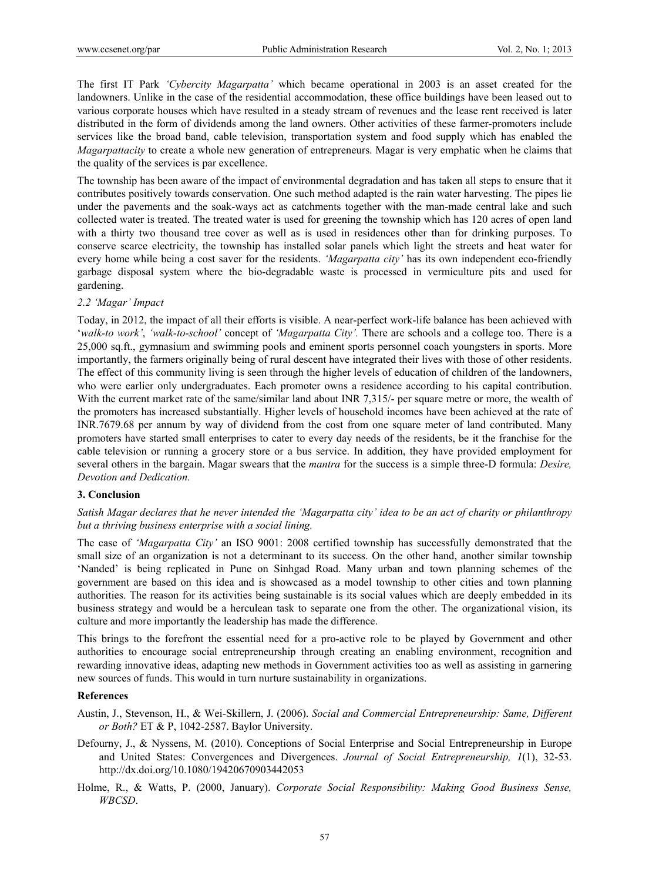The first IT Park *'Cybercity Magarpatta'* which became operational in 2003 is an asset created for the landowners. Unlike in the case of the residential accommodation, these office buildings have been leased out to various corporate houses which have resulted in a steady stream of revenues and the lease rent received is later distributed in the form of dividends among the land owners. Other activities of these farmer-promoters include services like the broad band, cable television, transportation system and food supply which has enabled the *Magarpattacity* to create a whole new generation of entrepreneurs. Magar is very emphatic when he claims that the quality of the services is par excellence.

The township has been aware of the impact of environmental degradation and has taken all steps to ensure that it contributes positively towards conservation. One such method adapted is the rain water harvesting. The pipes lie under the pavements and the soak-ways act as catchments together with the man-made central lake and such collected water is treated. The treated water is used for greening the township which has 120 acres of open land with a thirty two thousand tree cover as well as is used in residences other than for drinking purposes. To conserve scarce electricity, the township has installed solar panels which light the streets and heat water for every home while being a cost saver for the residents. *'Magarpatta city'* has its own independent eco-friendly garbage disposal system where the bio-degradable waste is processed in vermiculture pits and used for gardening.

### *2.2 'Magar' Impact*

Today, in 2012, the impact of all their efforts is visible. A near-perfect work-life balance has been achieved with '*walk-to work'*, *'walk-to-school'* concept of *'Magarpatta City'.* There are schools and a college too. There is a 25,000 sq.ft., gymnasium and swimming pools and eminent sports personnel coach youngsters in sports. More importantly, the farmers originally being of rural descent have integrated their lives with those of other residents. The effect of this community living is seen through the higher levels of education of children of the landowners, who were earlier only undergraduates. Each promoter owns a residence according to his capital contribution. With the current market rate of the same/similar land about INR 7,315/- per square metre or more, the wealth of the promoters has increased substantially. Higher levels of household incomes have been achieved at the rate of INR.7679.68 per annum by way of dividend from the cost from one square meter of land contributed. Many promoters have started small enterprises to cater to every day needs of the residents, be it the franchise for the cable television or running a grocery store or a bus service. In addition, they have provided employment for several others in the bargain. Magar swears that the *mantra* for the success is a simple three-D formula: *Desire, Devotion and Dedication.* 

### **3. Conclusion**

## *Satish Magar declares that he never intended the 'Magarpatta city' idea to be an act of charity or philanthropy but a thriving business enterprise with a social lining.*

The case of *'Magarpatta City'* an ISO 9001: 2008 certified township has successfully demonstrated that the small size of an organization is not a determinant to its success. On the other hand, another similar township 'Nanded' is being replicated in Pune on Sinhgad Road. Many urban and town planning schemes of the government are based on this idea and is showcased as a model township to other cities and town planning authorities. The reason for its activities being sustainable is its social values which are deeply embedded in its business strategy and would be a herculean task to separate one from the other. The organizational vision, its culture and more importantly the leadership has made the difference.

This brings to the forefront the essential need for a pro-active role to be played by Government and other authorities to encourage social entrepreneurship through creating an enabling environment, recognition and rewarding innovative ideas, adapting new methods in Government activities too as well as assisting in garnering new sources of funds. This would in turn nurture sustainability in organizations.

#### **References**

- Austin, J., Stevenson, H., & Wei-Skillern, J. (2006). *Social and Commercial Entrepreneurship: Same, Different or Both?* ET & P, 1042-2587. Baylor University.
- Defourny, J., & Nyssens, M. (2010). Conceptions of Social Enterprise and Social Entrepreneurship in Europe and United States: Convergences and Divergences. *Journal of Social Entrepreneurship, 1*(1), 32-53. http://dx.doi.org/10.1080/19420670903442053
- Holme, R., & Watts, P. (2000, January). *Corporate Social Responsibility: Making Good Business Sense, WBCSD*.